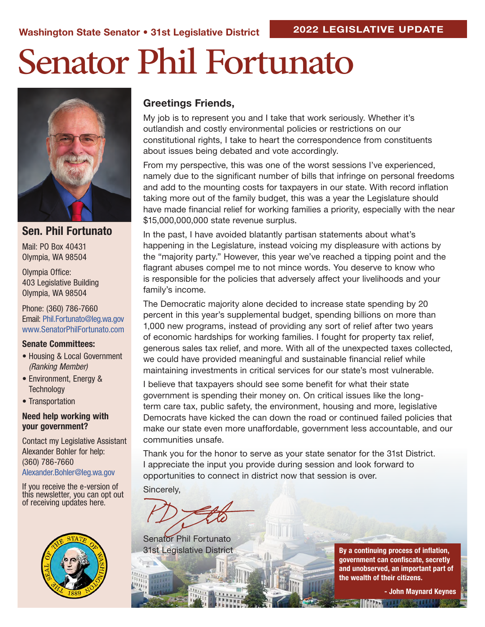# Senator Phil Fortunato



### Sen. Phil Fortunato

Mail: PO Box 40431 Olympia, WA 98504

Olympia Office: 403 Legislative Building Olympia, WA 98504

Phone: (360) 786-7660 Email: Phil.Fortunato@leg.wa.gov www.SenatorPhilFortunato.com

#### Senate Committees:

- Housing & Local Government *(Ranking Member)*
- Environment, Energy & **Technology**
- Transportation

#### Need help working with your government?

Contact my Legislative Assistant Alexander Bohler for help: (360) 786-7660 Alexander.Bohler@leg.wa.gov

If you receive the e-version of this newsletter, you can opt out of receiving updates here.



#### Greetings Friends,

My job is to represent you and I take that work seriously. Whether it's outlandish and costly environmental policies or restrictions on our constitutional rights, I take to heart the correspondence from constituents about issues being debated and vote accordingly.

From my perspective, this was one of the worst sessions I've experienced, namely due to the significant number of bills that infringe on personal freedoms and add to the mounting costs for taxpayers in our state. With record inflation taking more out of the family budget, this was a year the Legislature should have made financial relief for working families a priority, especially with the near \$15,000,000,000 state revenue surplus.

In the past, I have avoided blatantly partisan statements about what's happening in the Legislature, instead voicing my displeasure with actions by the "majority party." However, this year we've reached a tipping point and the flagrant abuses compel me to not mince words. You deserve to know who is responsible for the policies that adversely affect your livelihoods and your family's income.

The Democratic majority alone decided to increase state spending by 20 percent in this year's supplemental budget, spending billions on more than 1,000 new programs, instead of providing any sort of relief after two years of economic hardships for working families. I fought for property tax relief, generous sales tax relief, and more. With all of the unexpected taxes collected, we could have provided meaningful and sustainable financial relief while maintaining investments in critical services for our state's most vulnerable.

I believe that taxpayers should see some benefit for what their state government is spending their money on. On critical issues like the longterm care tax, public safety, the environment, housing and more, legislative Democrats have kicked the can down the road or continued failed policies that make our state even more unaffordable, government less accountable, and our communities unsafe.

Thank you for the honor to serve as your state senator for the 31st District. I appreciate the input you provide during session and look forward to opportunities to connect in district now that session is over.

Sincerely,

Senator Phil Fortunato 31st Legislative District

By a continuing process of inflation, government can confiscate, secretly and unobserved, an important part of the wealth of their citizens.

- John Maynard Keynes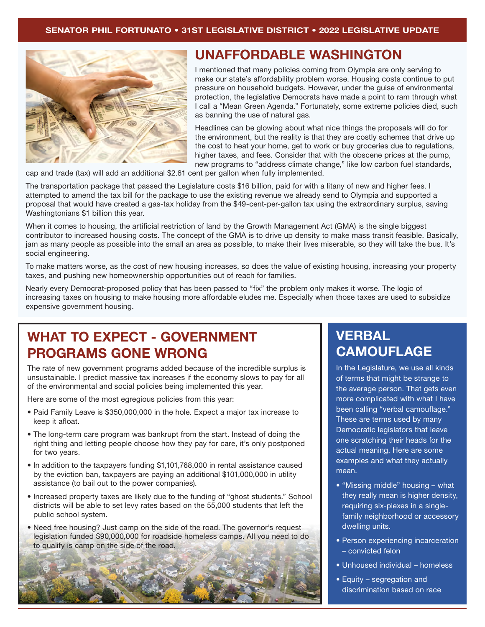

## UNAFFORDABLE WASHINGTON

I mentioned that many policies coming from Olympia are only serving to make our state's affordability problem worse. Housing costs continue to put pressure on household budgets. However, under the guise of environmental protection, the legislative Democrats have made a point to ram through what I call a "Mean Green Agenda." Fortunately, some extreme policies died, such as banning the use of natural gas.

Headlines can be glowing about what nice things the proposals will do for the environment, but the reality is that they are costly schemes that drive up the cost to heat your home, get to work or buy groceries due to regulations, higher taxes, and fees. Consider that with the obscene prices at the pump, new programs to "address climate change," like low carbon fuel standards,

cap and trade (tax) will add an additional \$2.61 cent per gallon when fully implemented.

The transportation package that passed the Legislature costs \$16 billion, paid for with a litany of new and higher fees. I attempted to amend the tax bill for the package to use the existing revenue we already send to Olympia and supported a proposal that would have created a gas-tax holiday from the \$49-cent-per-gallon tax using the extraordinary surplus, saving Washingtonians \$1 billion this year.

When it comes to housing, the artificial restriction of land by the Growth Management Act (GMA) is the single biggest contributor to increased housing costs. The concept of the GMA is to drive up density to make mass transit feasible. Basically, jam as many people as possible into the small an area as possible, to make their lives miserable, so they will take the bus. It's social engineering.

To make matters worse, as the cost of new housing increases, so does the value of existing housing, increasing your property taxes, and pushing new homeownership opportunities out of reach for families.

Nearly every Democrat-proposed policy that has been passed to "fix" the problem only makes it worse. The logic of increasing taxes on housing to make housing more affordable eludes me. Especially when those taxes are used to subsidize expensive government housing.

## WHAT TO EXPECT - GOVERNMENT PROGRAMS GONE WRONG

The rate of new government programs added because of the incredible surplus is unsustainable. I predict massive tax increases if the economy slows to pay for all of the environmental and social policies being implemented this year.

Here are some of the most egregious policies from this year:

- Paid Family Leave is \$350,000,000 in the hole. Expect a major tax increase to keep it afloat.
- The long-term care program was bankrupt from the start. Instead of doing the right thing and letting people choose how they pay for care, it's only postponed for two years.
- In addition to the taxpayers funding \$1,101,768,000 in rental assistance caused by the eviction ban, taxpayers are paying an additional \$101,000,000 in utility assistance (to bail out to the power companies).
- Increased property taxes are likely due to the funding of "ghost students." School districts will be able to set levy rates based on the 55,000 students that left the public school system.
- Need free housing? Just camp on the side of the road. The governor's request legislation funded \$90,000,000 for roadside homeless camps. All you need to do to qualify is camp on the side of the road.



## VERBAL **CAMOUFLAGE**

In the Legislature, we use all kinds of terms that might be strange to the average person. That gets even more complicated with what I have been calling "verbal camouflage." These are terms used by many Democratic legislators that leave one scratching their heads for the actual meaning. Here are some examples and what they actually mean.

- "Missing middle" housing what they really mean is higher density, requiring six-plexes in a singlefamily neighborhood or accessory dwelling units.
- Person experiencing incarceration – convicted felon
- Unhoused individual homeless
- Equity segregation and discrimination based on race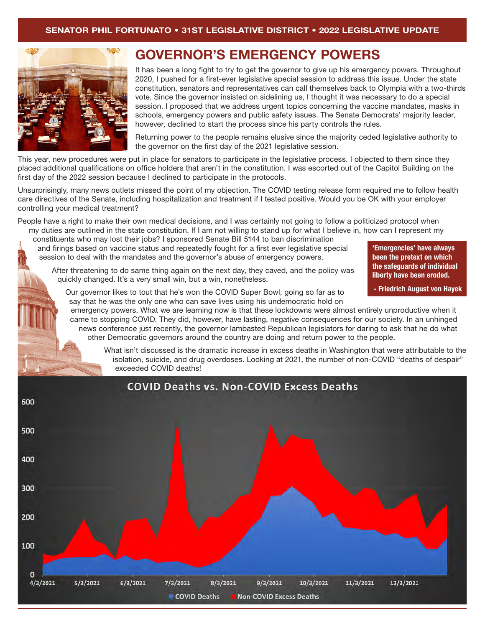

## GOVERNOR'S EMERGENCY POWERS

It has been a long fight to try to get the governor to give up his emergency powers. Throughout 2020, I pushed for a first-ever legislative special session to address this issue. Under the state constitution, senators and representatives can call themselves back to Olympia with a two-thirds vote. Since the governor insisted on sidelining us, I thought it was necessary to do a special session. I proposed that we address urgent topics concerning the vaccine mandates, masks in schools, emergency powers and public safety issues. The Senate Democrats' majority leader, however, declined to start the process since his party controls the rules.

Returning power to the people remains elusive since the majority ceded legislative authority to the governor on the first day of the 2021 legislative session.

This year, new procedures were put in place for senators to participate in the legislative process. I objected to them since they placed additional qualifications on office holders that aren't in the constitution. I was escorted out of the Capitol Building on the first day of the 2022 session because I declined to participate in the protocols.

Unsurprisingly, many news outlets missed the point of my objection. The COVID testing release form required me to follow health care directives of the Senate, including hospitalization and treatment if I tested positive. Would you be OK with your employer controlling your medical treatment?

People have a right to make their own medical decisions, and I was certainly not going to follow a politicized protocol when my duties are outlined in the state constitution. If I am not willing to stand up for what I believe in, how can I represent my

constituents who may lost their jobs? I sponsored Senate Bill 5144 to ban discrimination and firings based on vaccine status and repeatedly fought for a first ever legislative special session to deal with the mandates and the governor's abuse of emergency powers.

After threatening to do same thing again on the next day, they caved, and the policy was quickly changed. It's a very small win, but a win, nonetheless.

'Emergencies' have always been the pretext on which the safeguards of individual liberty have been eroded.

- Friedrich August von Hayek

Our governor likes to tout that he's won the COVID Super Bowl, going so far as to say that he was the only one who can save lives using his undemocratic hold on

emergency powers. What we are learning now is that these lockdowns were almost entirely unproductive when it came to stopping COVID. They did, however, have lasting, negative consequences for our society. In an unhinged news conference just recently, the governor lambasted Republican legislators for daring to ask that he do what other Democratic governors around the country are doing and return power to the people.

What isn't discussed is the dramatic increase in excess deaths in Washington that were attributable to the isolation, suicide, and drug overdoses. Looking at 2021, the number of non-COVID "deaths of despair" exceeded COVID deaths!